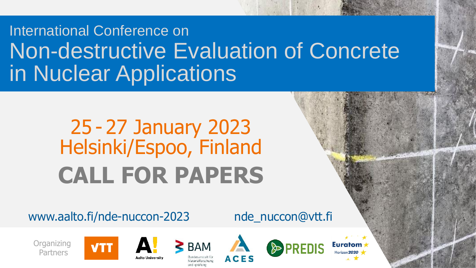## International Conference on Non-destructive Evaluation of Concrete in Nuclear Applications

# 25 - 27 January 2023 Helsinki/Espoo, Finland **CALL FOR PAPERS**

www.aalto.fi/nde-nuccon-2023 nde\_nuccon@vtt.fi

**Organizing** Partners









**Euratom**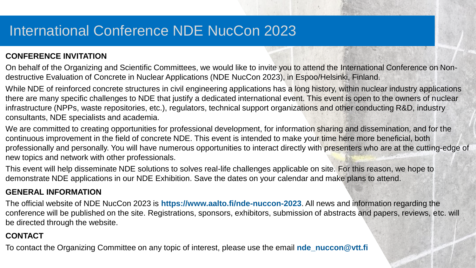#### **CONFERENCE INVITATION**

On behalf of the Organizing and Scientific Committees, we would like to invite you to attend the International Conference on Nondestructive Evaluation of Concrete in Nuclear Applications (NDE NucCon 2023), in Espoo/Helsinki, Finland.

While NDE of reinforced concrete structures in civil engineering applications has a long history, within nuclear industry applications there are many specific challenges to NDE that justify a dedicated international event. This event is open to the owners of nuclear infrastructure (NPPs, waste repositories, etc.), regulators, technical support organizations and other conducting R&D, industry consultants, NDE specialists and academia.

We are committed to creating opportunities for professional development, for information sharing and dissemination, and for the continuous improvement in the field of concrete NDE. This event is intended to make your time here more beneficial, both professionally and personally. You will have numerous opportunities to interact directly with presenters who are at the cutting-edge of new topics and network with other professionals.

This event will help disseminate NDE solutions to solves real-life challenges applicable on site. For this reason, we hope to demonstrate NDE applications in our NDE Exhibition. Save the dates on your calendar and make plans to attend.

#### **GENERAL INFORMATION**

The official website of NDE NucCon 2023 is **https://www.aalto.fi/nde-nuccon-2023**. All news and information regarding the conference will be published on the site. Registrations, sponsors, exhibitors, submission of abstracts and papers, reviews, etc. will be directed through the website.

#### **CONTACT**

To contact the Organizing Committee on any topic of interest, please use the email **nde** nuccon@vtt.fi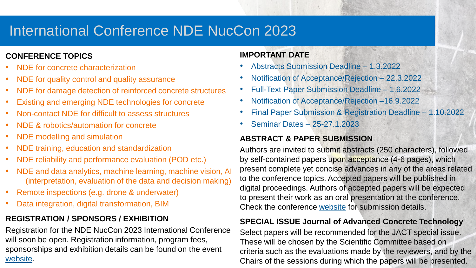#### **CONFERENCE TOPICS**

- NDE for concrete characterization
- NDE for quality control and quality assurance
- NDE for damage detection of reinforced concrete structures
- Existing and emerging NDE technologies for concrete
- Non-contact NDE for difficult to assess structures
- NDE & robotics/automation for concrete
- NDE modelling and simulation
- NDE training, education and standardization
- NDE reliability and performance evaluation (POD etc.)
- NDE and data analytics, machine learning, machine vision, AI (interpretation, evaluation of the data and decision making)
- Remote inspections (e.g. drone & underwater)
- Data integration, digital transformation, BIM

#### **REGISTRATION / SPONSORS / EXHIBITION**

Registration for the NDE NucCon 2023 International Conference will soon be open. Registration information, program fees, sponsorships and exhibition details can be found on the event [website](https://www.aalto.fi/nde-nuccon-2023).

#### **IMPORTANT DATE**

- Abstracts Submission Deadline 1.3.2022
- Notification of Acceptance/Rejection 22.3.2022
- Full-Text Paper Submission Deadline 1.6.2022
- Notification of Acceptance/Rejection –16.9.2022
- Final Paper Submission & Registration Deadline 1.10.2022
- Seminar Dates 25-27.1.2023

#### **ABSTRACT & PAPER SUBMISSION**

Authors are invited to submit abstracts (250 characters), followed by self-contained papers upon acceptance (4-6 pages), which present complete yet concise advances in any of the areas related to the conference topics. Accepted papers will be published in digital proceedings. Authors of accepted papers will be expected to present their work as an oral presentation at the conference. Check the conference [website](https://www.aalto.fi/nde-nuccon-2023) for submission details.

#### **SPECIAL ISSUE Journal of Advanced Concrete Technology**

Select papers will be recommended for the JACT special issue. These will be chosen by the Scientific Committee based on criteria such as the evaluations made by the reviewers, and by the Chairs of the sessions during which the papers will be presented.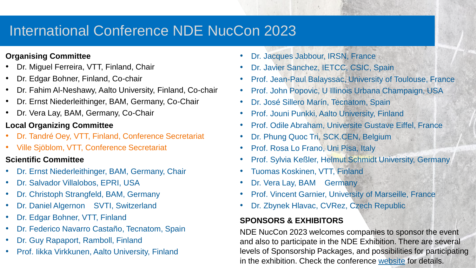#### **Organising Committee**

- Dr. Miguel Ferreira, VTT, Finland, Chair
- Dr. Edgar Bohner, Finland, Co-chair
- Dr. Fahim Al-Neshawy, Aalto University, Finland, Co-chair
- Dr. Ernst Niederleithinger, BAM, Germany, Co-Chair
- Dr. Vera Lay, BAM, Germany, Co-Chair

#### **Local Organizing Committee**

- Dr. Tandré Oey, VTT, Finland, Conference Secretariat
- Ville Sjöblom, VTT, Conference Secretariat

#### **Scientific Committee**

- Dr. Ernst Niederleithinger, BAM, Germany, Chair
- Dr. Salvador Villalobos, EPRI, USA
- Dr. Christoph Strangfeld, BAM, Germany
- Dr. Daniel Algernon SVTI, Switzerland
- Dr. Edgar Bohner, VTT, Finland
- Dr. Federico Navarro Castaño, Tecnatom, Spain
- Dr. Guy Rapaport, Ramboll, Finland
- Prof. Iikka Virkkunen, Aalto University, Finland
- Dr. Jacques Jabbour, IRSN, France
- Dr. Javier Sanchez, IETCC, CSIC, Spain
- Prof. Jean-Paul Balayssac, University of Toulouse, France
- Prof. John Popovic, U Illinois Urbana Champaign, USA
- Dr. José Sillero Marín, Tecnatom, Spain
- Prof. Jouni Punkki, Aalto University, Finland
- Prof. Odile Abraham, Universite Gustave Eiffel, France
- Dr. Phung Quoc Tri, SCK.CEN, Belgium
- Prof. Rosa Lo Frano, Uni Pisa, Italy
- Prof. Sylvia Keßler, Helmut Schmidt University, Germany
- Tuomas Koskinen, VTT, Finland
- Dr. Vera Lay, BAM Germany
- Prof. Vincent Garnier, University of Marseille, France
- Dr. Zbynek Hlavac, CVRez, Czech Republic

#### **SPONSORS & EXHIBITORS**

NDE NucCon 2023 welcomes companies to sponsor the event and also to participate in the NDE Exhibition. There are several levels of Sponsorship Packages, and possibilities for participating in the exhibition. Check the conference [website](https://www.aalto.fi/nde-nuccon-2023) for details.